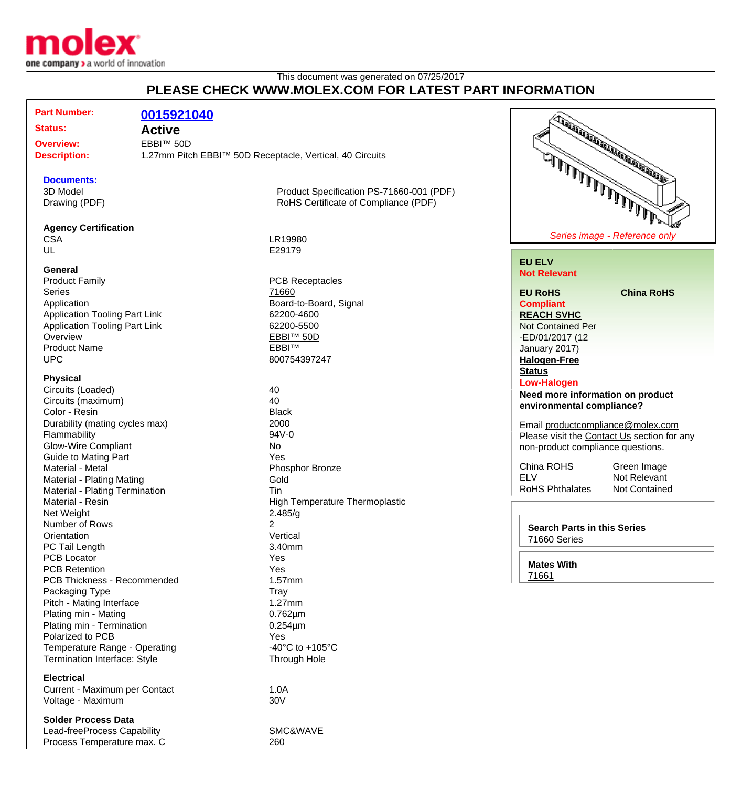

## This document was generated on 07/25/2017 **PLEASE CHECK WWW.MOLEX.COM FOR LATEST PART INFORMATION**

| <b>Part Number:</b><br>0015921040<br>TABA ARTICLE AND ARTICLE AND THE REAL PROPERTY AND<br><b>Status:</b><br><b>Active</b><br>EBBI™ 50D<br><b>Overview:</b><br><b>Description:</b><br>1.27mm Pitch EBBI™ 50D Receptacle, Vertical, 40 Circuits<br>يتملا الملالا الملال الملال الدير<br><b>Documents:</b><br>3D Model<br>Product Specification PS-71660-001 (PDF)<br>RoHS Certificate of Compliance (PDF)<br>Drawing (PDF)<br><b>Agency Certification</b><br>Series image - Reference only<br><b>CSA</b><br>LR19980<br>UL<br>E29179<br><b>EU ELV</b><br>General<br><b>Not Relevant</b><br><b>Product Family</b><br><b>PCB Receptacles</b><br>71660<br><b>Series</b><br><b>China RoHS</b><br><b>EU RoHS</b><br>Board-to-Board, Signal<br>Application<br><b>Compliant</b><br><b>Application Tooling Part Link</b><br>62200-4600<br><b>REACH SVHC</b><br><b>Application Tooling Part Link</b><br>62200-5500<br><b>Not Contained Per</b><br>Overview<br>EBBI™ 50D<br>-ED/01/2017 (12<br><b>EBBITM</b><br><b>Product Name</b><br>January 2017)<br><b>UPC</b><br>800754397247<br><b>Halogen-Free</b><br><b>Status</b><br><b>Physical</b><br><b>Low-Halogen</b><br>Circuits (Loaded)<br>40<br>Need more information on product<br>40<br>Circuits (maximum)<br>environmental compliance?<br>Color - Resin<br><b>Black</b><br>2000<br>Durability (mating cycles max)<br>Email productcompliance@molex.com<br>94V-0<br>Flammability<br>Please visit the Contact Us section for any<br><b>Glow-Wire Compliant</b><br><b>No</b><br>non-product compliance questions.<br><b>Guide to Mating Part</b><br>Yes<br>China ROHS<br>Green Image<br>Material - Metal<br>Phosphor Bronze<br><b>ELV</b><br>Not Relevant<br><b>Material - Plating Mating</b><br>Gold<br><b>RoHS Phthalates</b><br><b>Not Contained</b><br>Material - Plating Termination<br><b>Tin</b><br>Material - Resin<br>High Temperature Thermoplastic<br>2.485/g<br>Net Weight<br>Number of Rows<br>2<br><b>Search Parts in this Series</b><br>Vertical<br>Orientation<br>71660 Series<br>PC Tail Length<br>3.40mm<br><b>PCB Locator</b><br>Yes<br><b>Mates With</b><br><b>PCB Retention</b><br>Yes<br>71661<br>PCB Thickness - Recommended<br>1.57mm<br>Packaging Type<br>Tray<br>Pitch - Mating Interface<br>$1.27$ mm<br>Plating min - Mating<br>$0.762 \mu m$<br>Plating min - Termination<br>$0.254 \mu m$<br>Polarized to PCB<br>Yes<br>-40 $^{\circ}$ C to +105 $^{\circ}$ C<br>Temperature Range - Operating<br>Termination Interface: Style<br><b>Through Hole</b><br><b>Electrical</b><br>Current - Maximum per Contact<br>1.0A<br>30V<br>Voltage - Maximum |  |  |
|---------------------------------------------------------------------------------------------------------------------------------------------------------------------------------------------------------------------------------------------------------------------------------------------------------------------------------------------------------------------------------------------------------------------------------------------------------------------------------------------------------------------------------------------------------------------------------------------------------------------------------------------------------------------------------------------------------------------------------------------------------------------------------------------------------------------------------------------------------------------------------------------------------------------------------------------------------------------------------------------------------------------------------------------------------------------------------------------------------------------------------------------------------------------------------------------------------------------------------------------------------------------------------------------------------------------------------------------------------------------------------------------------------------------------------------------------------------------------------------------------------------------------------------------------------------------------------------------------------------------------------------------------------------------------------------------------------------------------------------------------------------------------------------------------------------------------------------------------------------------------------------------------------------------------------------------------------------------------------------------------------------------------------------------------------------------------------------------------------------------------------------------------------------------------------------------------------------------------------------------------------------------------------------------------------------------------------------------------------------------------------------------------------------------------------------------------------------------------------------------------------------------------------------------------------------------------------------------------------------------|--|--|
|                                                                                                                                                                                                                                                                                                                                                                                                                                                                                                                                                                                                                                                                                                                                                                                                                                                                                                                                                                                                                                                                                                                                                                                                                                                                                                                                                                                                                                                                                                                                                                                                                                                                                                                                                                                                                                                                                                                                                                                                                                                                                                                                                                                                                                                                                                                                                                                                                                                                                                                                                                                                                     |  |  |
|                                                                                                                                                                                                                                                                                                                                                                                                                                                                                                                                                                                                                                                                                                                                                                                                                                                                                                                                                                                                                                                                                                                                                                                                                                                                                                                                                                                                                                                                                                                                                                                                                                                                                                                                                                                                                                                                                                                                                                                                                                                                                                                                                                                                                                                                                                                                                                                                                                                                                                                                                                                                                     |  |  |
|                                                                                                                                                                                                                                                                                                                                                                                                                                                                                                                                                                                                                                                                                                                                                                                                                                                                                                                                                                                                                                                                                                                                                                                                                                                                                                                                                                                                                                                                                                                                                                                                                                                                                                                                                                                                                                                                                                                                                                                                                                                                                                                                                                                                                                                                                                                                                                                                                                                                                                                                                                                                                     |  |  |
|                                                                                                                                                                                                                                                                                                                                                                                                                                                                                                                                                                                                                                                                                                                                                                                                                                                                                                                                                                                                                                                                                                                                                                                                                                                                                                                                                                                                                                                                                                                                                                                                                                                                                                                                                                                                                                                                                                                                                                                                                                                                                                                                                                                                                                                                                                                                                                                                                                                                                                                                                                                                                     |  |  |
|                                                                                                                                                                                                                                                                                                                                                                                                                                                                                                                                                                                                                                                                                                                                                                                                                                                                                                                                                                                                                                                                                                                                                                                                                                                                                                                                                                                                                                                                                                                                                                                                                                                                                                                                                                                                                                                                                                                                                                                                                                                                                                                                                                                                                                                                                                                                                                                                                                                                                                                                                                                                                     |  |  |
|                                                                                                                                                                                                                                                                                                                                                                                                                                                                                                                                                                                                                                                                                                                                                                                                                                                                                                                                                                                                                                                                                                                                                                                                                                                                                                                                                                                                                                                                                                                                                                                                                                                                                                                                                                                                                                                                                                                                                                                                                                                                                                                                                                                                                                                                                                                                                                                                                                                                                                                                                                                                                     |  |  |
|                                                                                                                                                                                                                                                                                                                                                                                                                                                                                                                                                                                                                                                                                                                                                                                                                                                                                                                                                                                                                                                                                                                                                                                                                                                                                                                                                                                                                                                                                                                                                                                                                                                                                                                                                                                                                                                                                                                                                                                                                                                                                                                                                                                                                                                                                                                                                                                                                                                                                                                                                                                                                     |  |  |
|                                                                                                                                                                                                                                                                                                                                                                                                                                                                                                                                                                                                                                                                                                                                                                                                                                                                                                                                                                                                                                                                                                                                                                                                                                                                                                                                                                                                                                                                                                                                                                                                                                                                                                                                                                                                                                                                                                                                                                                                                                                                                                                                                                                                                                                                                                                                                                                                                                                                                                                                                                                                                     |  |  |
|                                                                                                                                                                                                                                                                                                                                                                                                                                                                                                                                                                                                                                                                                                                                                                                                                                                                                                                                                                                                                                                                                                                                                                                                                                                                                                                                                                                                                                                                                                                                                                                                                                                                                                                                                                                                                                                                                                                                                                                                                                                                                                                                                                                                                                                                                                                                                                                                                                                                                                                                                                                                                     |  |  |
|                                                                                                                                                                                                                                                                                                                                                                                                                                                                                                                                                                                                                                                                                                                                                                                                                                                                                                                                                                                                                                                                                                                                                                                                                                                                                                                                                                                                                                                                                                                                                                                                                                                                                                                                                                                                                                                                                                                                                                                                                                                                                                                                                                                                                                                                                                                                                                                                                                                                                                                                                                                                                     |  |  |
|                                                                                                                                                                                                                                                                                                                                                                                                                                                                                                                                                                                                                                                                                                                                                                                                                                                                                                                                                                                                                                                                                                                                                                                                                                                                                                                                                                                                                                                                                                                                                                                                                                                                                                                                                                                                                                                                                                                                                                                                                                                                                                                                                                                                                                                                                                                                                                                                                                                                                                                                                                                                                     |  |  |
|                                                                                                                                                                                                                                                                                                                                                                                                                                                                                                                                                                                                                                                                                                                                                                                                                                                                                                                                                                                                                                                                                                                                                                                                                                                                                                                                                                                                                                                                                                                                                                                                                                                                                                                                                                                                                                                                                                                                                                                                                                                                                                                                                                                                                                                                                                                                                                                                                                                                                                                                                                                                                     |  |  |
|                                                                                                                                                                                                                                                                                                                                                                                                                                                                                                                                                                                                                                                                                                                                                                                                                                                                                                                                                                                                                                                                                                                                                                                                                                                                                                                                                                                                                                                                                                                                                                                                                                                                                                                                                                                                                                                                                                                                                                                                                                                                                                                                                                                                                                                                                                                                                                                                                                                                                                                                                                                                                     |  |  |
|                                                                                                                                                                                                                                                                                                                                                                                                                                                                                                                                                                                                                                                                                                                                                                                                                                                                                                                                                                                                                                                                                                                                                                                                                                                                                                                                                                                                                                                                                                                                                                                                                                                                                                                                                                                                                                                                                                                                                                                                                                                                                                                                                                                                                                                                                                                                                                                                                                                                                                                                                                                                                     |  |  |
|                                                                                                                                                                                                                                                                                                                                                                                                                                                                                                                                                                                                                                                                                                                                                                                                                                                                                                                                                                                                                                                                                                                                                                                                                                                                                                                                                                                                                                                                                                                                                                                                                                                                                                                                                                                                                                                                                                                                                                                                                                                                                                                                                                                                                                                                                                                                                                                                                                                                                                                                                                                                                     |  |  |
|                                                                                                                                                                                                                                                                                                                                                                                                                                                                                                                                                                                                                                                                                                                                                                                                                                                                                                                                                                                                                                                                                                                                                                                                                                                                                                                                                                                                                                                                                                                                                                                                                                                                                                                                                                                                                                                                                                                                                                                                                                                                                                                                                                                                                                                                                                                                                                                                                                                                                                                                                                                                                     |  |  |
|                                                                                                                                                                                                                                                                                                                                                                                                                                                                                                                                                                                                                                                                                                                                                                                                                                                                                                                                                                                                                                                                                                                                                                                                                                                                                                                                                                                                                                                                                                                                                                                                                                                                                                                                                                                                                                                                                                                                                                                                                                                                                                                                                                                                                                                                                                                                                                                                                                                                                                                                                                                                                     |  |  |
|                                                                                                                                                                                                                                                                                                                                                                                                                                                                                                                                                                                                                                                                                                                                                                                                                                                                                                                                                                                                                                                                                                                                                                                                                                                                                                                                                                                                                                                                                                                                                                                                                                                                                                                                                                                                                                                                                                                                                                                                                                                                                                                                                                                                                                                                                                                                                                                                                                                                                                                                                                                                                     |  |  |
|                                                                                                                                                                                                                                                                                                                                                                                                                                                                                                                                                                                                                                                                                                                                                                                                                                                                                                                                                                                                                                                                                                                                                                                                                                                                                                                                                                                                                                                                                                                                                                                                                                                                                                                                                                                                                                                                                                                                                                                                                                                                                                                                                                                                                                                                                                                                                                                                                                                                                                                                                                                                                     |  |  |
|                                                                                                                                                                                                                                                                                                                                                                                                                                                                                                                                                                                                                                                                                                                                                                                                                                                                                                                                                                                                                                                                                                                                                                                                                                                                                                                                                                                                                                                                                                                                                                                                                                                                                                                                                                                                                                                                                                                                                                                                                                                                                                                                                                                                                                                                                                                                                                                                                                                                                                                                                                                                                     |  |  |
|                                                                                                                                                                                                                                                                                                                                                                                                                                                                                                                                                                                                                                                                                                                                                                                                                                                                                                                                                                                                                                                                                                                                                                                                                                                                                                                                                                                                                                                                                                                                                                                                                                                                                                                                                                                                                                                                                                                                                                                                                                                                                                                                                                                                                                                                                                                                                                                                                                                                                                                                                                                                                     |  |  |
|                                                                                                                                                                                                                                                                                                                                                                                                                                                                                                                                                                                                                                                                                                                                                                                                                                                                                                                                                                                                                                                                                                                                                                                                                                                                                                                                                                                                                                                                                                                                                                                                                                                                                                                                                                                                                                                                                                                                                                                                                                                                                                                                                                                                                                                                                                                                                                                                                                                                                                                                                                                                                     |  |  |
|                                                                                                                                                                                                                                                                                                                                                                                                                                                                                                                                                                                                                                                                                                                                                                                                                                                                                                                                                                                                                                                                                                                                                                                                                                                                                                                                                                                                                                                                                                                                                                                                                                                                                                                                                                                                                                                                                                                                                                                                                                                                                                                                                                                                                                                                                                                                                                                                                                                                                                                                                                                                                     |  |  |
|                                                                                                                                                                                                                                                                                                                                                                                                                                                                                                                                                                                                                                                                                                                                                                                                                                                                                                                                                                                                                                                                                                                                                                                                                                                                                                                                                                                                                                                                                                                                                                                                                                                                                                                                                                                                                                                                                                                                                                                                                                                                                                                                                                                                                                                                                                                                                                                                                                                                                                                                                                                                                     |  |  |
|                                                                                                                                                                                                                                                                                                                                                                                                                                                                                                                                                                                                                                                                                                                                                                                                                                                                                                                                                                                                                                                                                                                                                                                                                                                                                                                                                                                                                                                                                                                                                                                                                                                                                                                                                                                                                                                                                                                                                                                                                                                                                                                                                                                                                                                                                                                                                                                                                                                                                                                                                                                                                     |  |  |
|                                                                                                                                                                                                                                                                                                                                                                                                                                                                                                                                                                                                                                                                                                                                                                                                                                                                                                                                                                                                                                                                                                                                                                                                                                                                                                                                                                                                                                                                                                                                                                                                                                                                                                                                                                                                                                                                                                                                                                                                                                                                                                                                                                                                                                                                                                                                                                                                                                                                                                                                                                                                                     |  |  |
|                                                                                                                                                                                                                                                                                                                                                                                                                                                                                                                                                                                                                                                                                                                                                                                                                                                                                                                                                                                                                                                                                                                                                                                                                                                                                                                                                                                                                                                                                                                                                                                                                                                                                                                                                                                                                                                                                                                                                                                                                                                                                                                                                                                                                                                                                                                                                                                                                                                                                                                                                                                                                     |  |  |
|                                                                                                                                                                                                                                                                                                                                                                                                                                                                                                                                                                                                                                                                                                                                                                                                                                                                                                                                                                                                                                                                                                                                                                                                                                                                                                                                                                                                                                                                                                                                                                                                                                                                                                                                                                                                                                                                                                                                                                                                                                                                                                                                                                                                                                                                                                                                                                                                                                                                                                                                                                                                                     |  |  |
|                                                                                                                                                                                                                                                                                                                                                                                                                                                                                                                                                                                                                                                                                                                                                                                                                                                                                                                                                                                                                                                                                                                                                                                                                                                                                                                                                                                                                                                                                                                                                                                                                                                                                                                                                                                                                                                                                                                                                                                                                                                                                                                                                                                                                                                                                                                                                                                                                                                                                                                                                                                                                     |  |  |
|                                                                                                                                                                                                                                                                                                                                                                                                                                                                                                                                                                                                                                                                                                                                                                                                                                                                                                                                                                                                                                                                                                                                                                                                                                                                                                                                                                                                                                                                                                                                                                                                                                                                                                                                                                                                                                                                                                                                                                                                                                                                                                                                                                                                                                                                                                                                                                                                                                                                                                                                                                                                                     |  |  |
|                                                                                                                                                                                                                                                                                                                                                                                                                                                                                                                                                                                                                                                                                                                                                                                                                                                                                                                                                                                                                                                                                                                                                                                                                                                                                                                                                                                                                                                                                                                                                                                                                                                                                                                                                                                                                                                                                                                                                                                                                                                                                                                                                                                                                                                                                                                                                                                                                                                                                                                                                                                                                     |  |  |
|                                                                                                                                                                                                                                                                                                                                                                                                                                                                                                                                                                                                                                                                                                                                                                                                                                                                                                                                                                                                                                                                                                                                                                                                                                                                                                                                                                                                                                                                                                                                                                                                                                                                                                                                                                                                                                                                                                                                                                                                                                                                                                                                                                                                                                                                                                                                                                                                                                                                                                                                                                                                                     |  |  |
|                                                                                                                                                                                                                                                                                                                                                                                                                                                                                                                                                                                                                                                                                                                                                                                                                                                                                                                                                                                                                                                                                                                                                                                                                                                                                                                                                                                                                                                                                                                                                                                                                                                                                                                                                                                                                                                                                                                                                                                                                                                                                                                                                                                                                                                                                                                                                                                                                                                                                                                                                                                                                     |  |  |
|                                                                                                                                                                                                                                                                                                                                                                                                                                                                                                                                                                                                                                                                                                                                                                                                                                                                                                                                                                                                                                                                                                                                                                                                                                                                                                                                                                                                                                                                                                                                                                                                                                                                                                                                                                                                                                                                                                                                                                                                                                                                                                                                                                                                                                                                                                                                                                                                                                                                                                                                                                                                                     |  |  |
|                                                                                                                                                                                                                                                                                                                                                                                                                                                                                                                                                                                                                                                                                                                                                                                                                                                                                                                                                                                                                                                                                                                                                                                                                                                                                                                                                                                                                                                                                                                                                                                                                                                                                                                                                                                                                                                                                                                                                                                                                                                                                                                                                                                                                                                                                                                                                                                                                                                                                                                                                                                                                     |  |  |
|                                                                                                                                                                                                                                                                                                                                                                                                                                                                                                                                                                                                                                                                                                                                                                                                                                                                                                                                                                                                                                                                                                                                                                                                                                                                                                                                                                                                                                                                                                                                                                                                                                                                                                                                                                                                                                                                                                                                                                                                                                                                                                                                                                                                                                                                                                                                                                                                                                                                                                                                                                                                                     |  |  |
|                                                                                                                                                                                                                                                                                                                                                                                                                                                                                                                                                                                                                                                                                                                                                                                                                                                                                                                                                                                                                                                                                                                                                                                                                                                                                                                                                                                                                                                                                                                                                                                                                                                                                                                                                                                                                                                                                                                                                                                                                                                                                                                                                                                                                                                                                                                                                                                                                                                                                                                                                                                                                     |  |  |
|                                                                                                                                                                                                                                                                                                                                                                                                                                                                                                                                                                                                                                                                                                                                                                                                                                                                                                                                                                                                                                                                                                                                                                                                                                                                                                                                                                                                                                                                                                                                                                                                                                                                                                                                                                                                                                                                                                                                                                                                                                                                                                                                                                                                                                                                                                                                                                                                                                                                                                                                                                                                                     |  |  |
|                                                                                                                                                                                                                                                                                                                                                                                                                                                                                                                                                                                                                                                                                                                                                                                                                                                                                                                                                                                                                                                                                                                                                                                                                                                                                                                                                                                                                                                                                                                                                                                                                                                                                                                                                                                                                                                                                                                                                                                                                                                                                                                                                                                                                                                                                                                                                                                                                                                                                                                                                                                                                     |  |  |
|                                                                                                                                                                                                                                                                                                                                                                                                                                                                                                                                                                                                                                                                                                                                                                                                                                                                                                                                                                                                                                                                                                                                                                                                                                                                                                                                                                                                                                                                                                                                                                                                                                                                                                                                                                                                                                                                                                                                                                                                                                                                                                                                                                                                                                                                                                                                                                                                                                                                                                                                                                                                                     |  |  |
|                                                                                                                                                                                                                                                                                                                                                                                                                                                                                                                                                                                                                                                                                                                                                                                                                                                                                                                                                                                                                                                                                                                                                                                                                                                                                                                                                                                                                                                                                                                                                                                                                                                                                                                                                                                                                                                                                                                                                                                                                                                                                                                                                                                                                                                                                                                                                                                                                                                                                                                                                                                                                     |  |  |
|                                                                                                                                                                                                                                                                                                                                                                                                                                                                                                                                                                                                                                                                                                                                                                                                                                                                                                                                                                                                                                                                                                                                                                                                                                                                                                                                                                                                                                                                                                                                                                                                                                                                                                                                                                                                                                                                                                                                                                                                                                                                                                                                                                                                                                                                                                                                                                                                                                                                                                                                                                                                                     |  |  |
|                                                                                                                                                                                                                                                                                                                                                                                                                                                                                                                                                                                                                                                                                                                                                                                                                                                                                                                                                                                                                                                                                                                                                                                                                                                                                                                                                                                                                                                                                                                                                                                                                                                                                                                                                                                                                                                                                                                                                                                                                                                                                                                                                                                                                                                                                                                                                                                                                                                                                                                                                                                                                     |  |  |
|                                                                                                                                                                                                                                                                                                                                                                                                                                                                                                                                                                                                                                                                                                                                                                                                                                                                                                                                                                                                                                                                                                                                                                                                                                                                                                                                                                                                                                                                                                                                                                                                                                                                                                                                                                                                                                                                                                                                                                                                                                                                                                                                                                                                                                                                                                                                                                                                                                                                                                                                                                                                                     |  |  |
|                                                                                                                                                                                                                                                                                                                                                                                                                                                                                                                                                                                                                                                                                                                                                                                                                                                                                                                                                                                                                                                                                                                                                                                                                                                                                                                                                                                                                                                                                                                                                                                                                                                                                                                                                                                                                                                                                                                                                                                                                                                                                                                                                                                                                                                                                                                                                                                                                                                                                                                                                                                                                     |  |  |
|                                                                                                                                                                                                                                                                                                                                                                                                                                                                                                                                                                                                                                                                                                                                                                                                                                                                                                                                                                                                                                                                                                                                                                                                                                                                                                                                                                                                                                                                                                                                                                                                                                                                                                                                                                                                                                                                                                                                                                                                                                                                                                                                                                                                                                                                                                                                                                                                                                                                                                                                                                                                                     |  |  |
|                                                                                                                                                                                                                                                                                                                                                                                                                                                                                                                                                                                                                                                                                                                                                                                                                                                                                                                                                                                                                                                                                                                                                                                                                                                                                                                                                                                                                                                                                                                                                                                                                                                                                                                                                                                                                                                                                                                                                                                                                                                                                                                                                                                                                                                                                                                                                                                                                                                                                                                                                                                                                     |  |  |
|                                                                                                                                                                                                                                                                                                                                                                                                                                                                                                                                                                                                                                                                                                                                                                                                                                                                                                                                                                                                                                                                                                                                                                                                                                                                                                                                                                                                                                                                                                                                                                                                                                                                                                                                                                                                                                                                                                                                                                                                                                                                                                                                                                                                                                                                                                                                                                                                                                                                                                                                                                                                                     |  |  |
|                                                                                                                                                                                                                                                                                                                                                                                                                                                                                                                                                                                                                                                                                                                                                                                                                                                                                                                                                                                                                                                                                                                                                                                                                                                                                                                                                                                                                                                                                                                                                                                                                                                                                                                                                                                                                                                                                                                                                                                                                                                                                                                                                                                                                                                                                                                                                                                                                                                                                                                                                                                                                     |  |  |
|                                                                                                                                                                                                                                                                                                                                                                                                                                                                                                                                                                                                                                                                                                                                                                                                                                                                                                                                                                                                                                                                                                                                                                                                                                                                                                                                                                                                                                                                                                                                                                                                                                                                                                                                                                                                                                                                                                                                                                                                                                                                                                                                                                                                                                                                                                                                                                                                                                                                                                                                                                                                                     |  |  |
|                                                                                                                                                                                                                                                                                                                                                                                                                                                                                                                                                                                                                                                                                                                                                                                                                                                                                                                                                                                                                                                                                                                                                                                                                                                                                                                                                                                                                                                                                                                                                                                                                                                                                                                                                                                                                                                                                                                                                                                                                                                                                                                                                                                                                                                                                                                                                                                                                                                                                                                                                                                                                     |  |  |
|                                                                                                                                                                                                                                                                                                                                                                                                                                                                                                                                                                                                                                                                                                                                                                                                                                                                                                                                                                                                                                                                                                                                                                                                                                                                                                                                                                                                                                                                                                                                                                                                                                                                                                                                                                                                                                                                                                                                                                                                                                                                                                                                                                                                                                                                                                                                                                                                                                                                                                                                                                                                                     |  |  |
|                                                                                                                                                                                                                                                                                                                                                                                                                                                                                                                                                                                                                                                                                                                                                                                                                                                                                                                                                                                                                                                                                                                                                                                                                                                                                                                                                                                                                                                                                                                                                                                                                                                                                                                                                                                                                                                                                                                                                                                                                                                                                                                                                                                                                                                                                                                                                                                                                                                                                                                                                                                                                     |  |  |

**Solder Process Data** Lead-freeProcess Capability SMC&WAVE Process Temperature max. C 260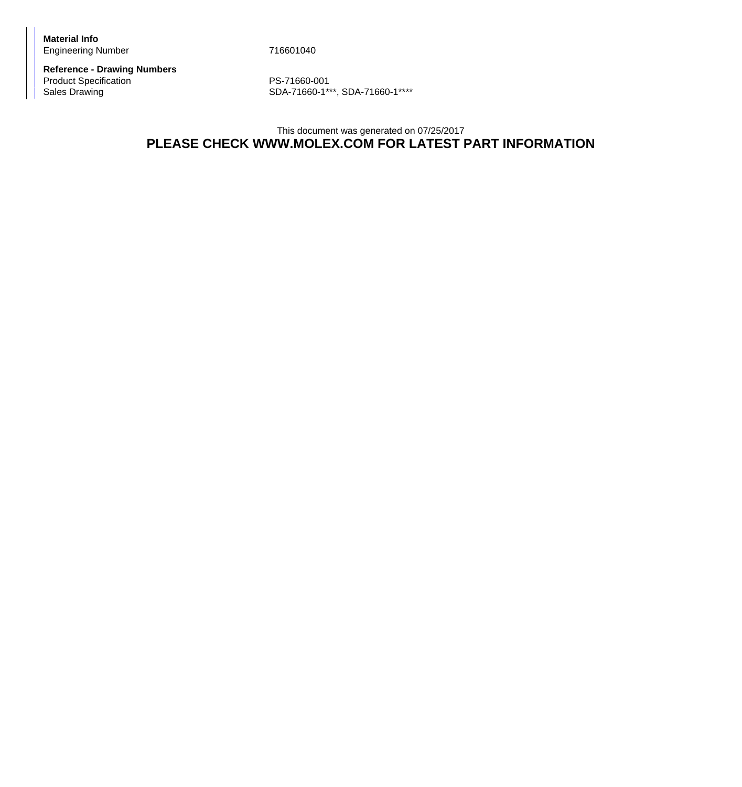**Material Info** Engineering Number 716601040

**Reference - Drawing Numbers** Product Specification<br>
Sales Drawing<br>
SDA-71660-1\*\*

SDA-71660-1\*\*\*, SDA-71660-1\*\*\*\*

## This document was generated on 07/25/2017 **PLEASE CHECK WWW.MOLEX.COM FOR LATEST PART INFORMATION**